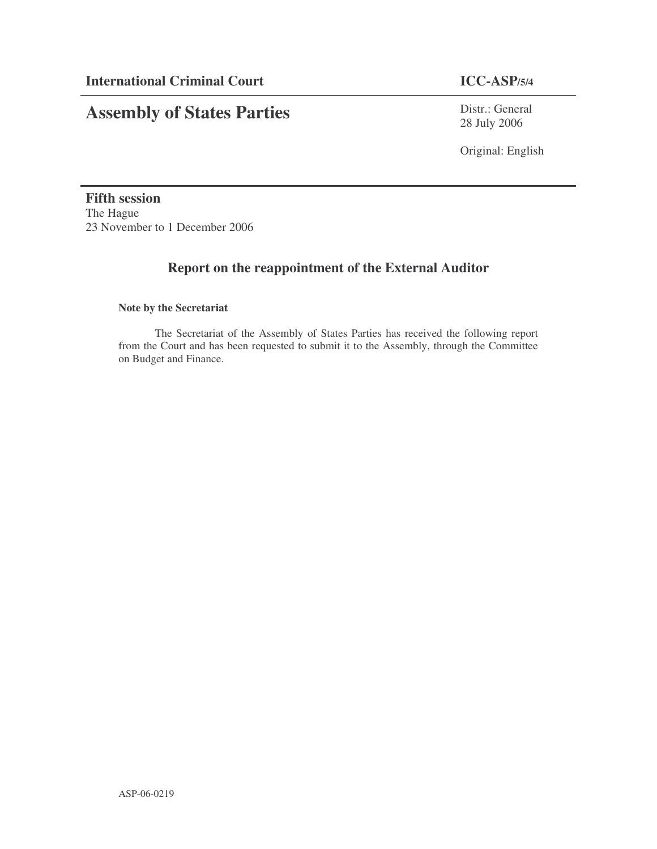# **Assembly of States Parties**

Distr.: General 28 July 2006

Original: English

**Fifth session** The Hague 23 November to 1 December 2006

## **Report on the reappointment of the External Auditor**

#### **Note by the Secretariat**

The Secretariat of the Assembly of States Parties has received the following report from the Court and has been requested to submit it to the Assembly, through the Committee on Budget and Finance.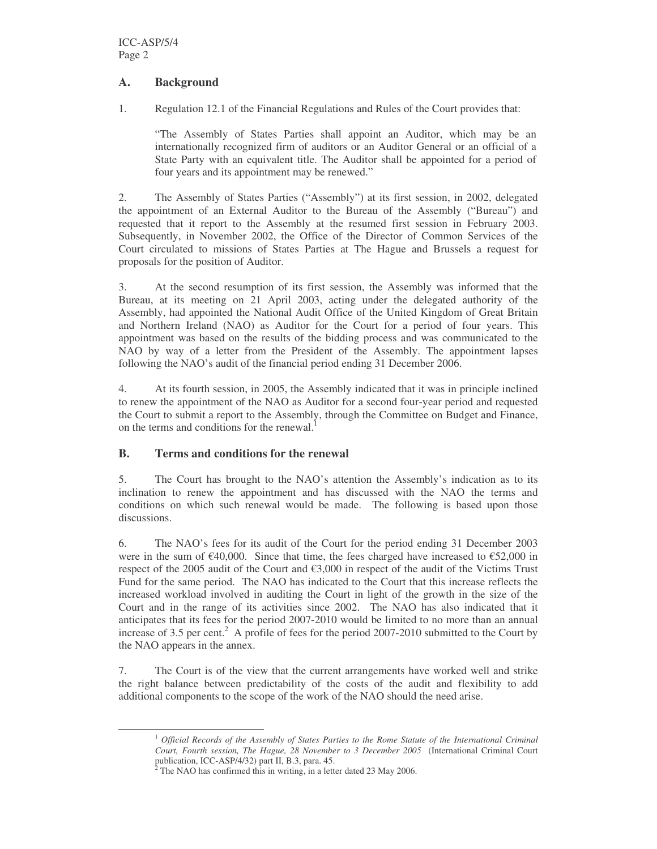#### **A. Background**

1. Regulation 12.1 of the Financial Regulations and Rules of the Court provides that:

"The Assembly of States Parties shall appoint an Auditor, which may be an internationally recognized firm of auditors or an Auditor General or an official of a State Party with an equivalent title. The Auditor shall be appointed for a period of four years and its appointment may be renewed."

2. The Assembly of States Parties ("Assembly") at its first session, in 2002, delegated the appointment of an External Auditor to the Bureau of the Assembly ("Bureau") and requested that it report to the Assembly at the resumed first session in February 2003. Subsequently, in November 2002, the Office of the Director of Common Services of the Court circulated to missions of States Parties at The Hague and Brussels a request for proposals for the position of Auditor.

3. At the second resumption of its first session, the Assembly was informed that the Bureau, at its meeting on 21 April 2003, acting under the delegated authority of the Assembly, had appointed the National Audit Office of the United Kingdom of Great Britain and Northern Ireland (NAO) as Auditor for the Court for a period of four years. This appointment was based on the results of the bidding process and was communicated to the NAO by way of a letter from the President of the Assembly. The appointment lapses following the NAO's audit of the financial period ending 31 December 2006.

4. At its fourth session, in 2005, the Assembly indicated that it was in principle inclined to renew the appointment of the NAO as Auditor for a second four-year period and requested the Court to submit a report to the Assembly, through the Committee on Budget and Finance, on the terms and conditions for the renewal.<sup>1</sup>

### **B. Terms and conditions for the renewal**

5. The Court has brought to the NAO's attention the Assembly's indication as to its inclination to renew the appointment and has discussed with the NAO the terms and conditions on which such renewal would be made. The following is based upon those discussions.

6. The NAO's fees for its audit of the Court for the period ending 31 December 2003 were in the sum of  $\epsilon$ 40,000. Since that time, the fees charged have increased to  $\epsilon$ 52,000 in respect of the 2005 audit of the Court and €3,000 in respect of the audit of the Victims Trust Fund for the same period. The NAO has indicated to the Court that this increase reflects the increased workload involved in auditing the Court in light of the growth in the size of the Court and in the range of its activities since 2002. The NAO has also indicated that it anticipates that its fees for the period 2007-2010 would be limited to no more than an annual increase of 3.5 per cent. <sup>2</sup> A profile of fees for the period 2007-2010 submitted to the Court by the NAO appears in the annex.

7. The Court is of the view that the current arrangements have worked well and strike the right balance between predictability of the costs of the audit and flexibility to add additional components to the scope of the work of the NAO should the need arise.

<sup>1</sup> *Official Records of the Assembly of States Parties to the Rome Statute of the International Criminal Court, Fourth session, The Hague, 28 November to 3 December 2005* (International Criminal Court publication, ICC-ASP/4/32) part II, B.3, para. 45.

 $2^2$  The NAO has confirmed this in writing, in a letter dated 23 May 2006.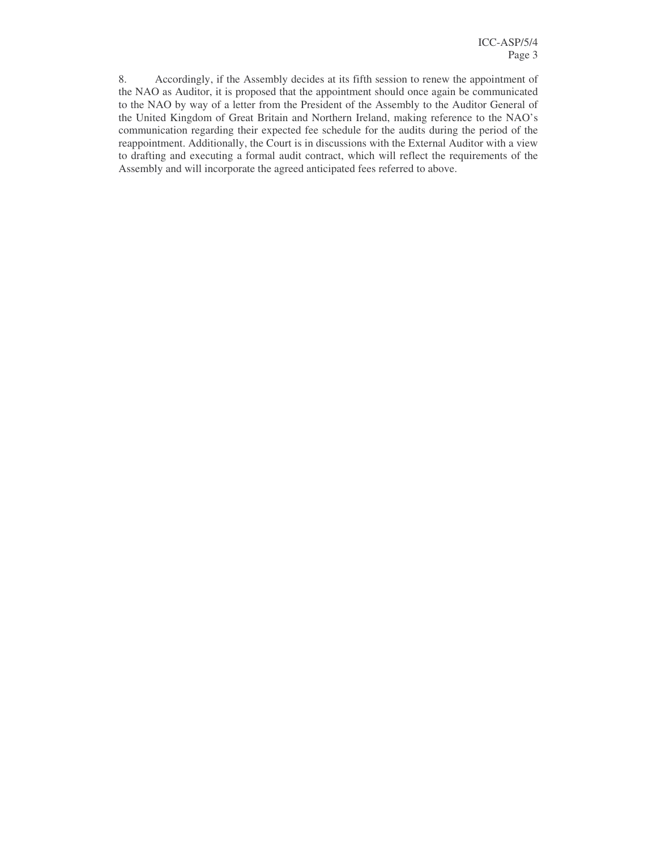8. Accordingly, if the Assembly decides at its fifth session to renew the appointment of the NAO as Auditor, it is proposed that the appointment should once again be communicated to the NAO by way of a letter from the President of the Assembly to the Auditor General of the United Kingdom of Great Britain and Northern Ireland, making reference to the NAO's communication regarding their expected fee schedule for the audits during the period of the reappointment. Additionally, the Court is in discussions with the External Auditor with a view to drafting and executing a formal audit contract, which will reflect the requirements of the Assembly and will incorporate the agreed anticipated fees referred to above.